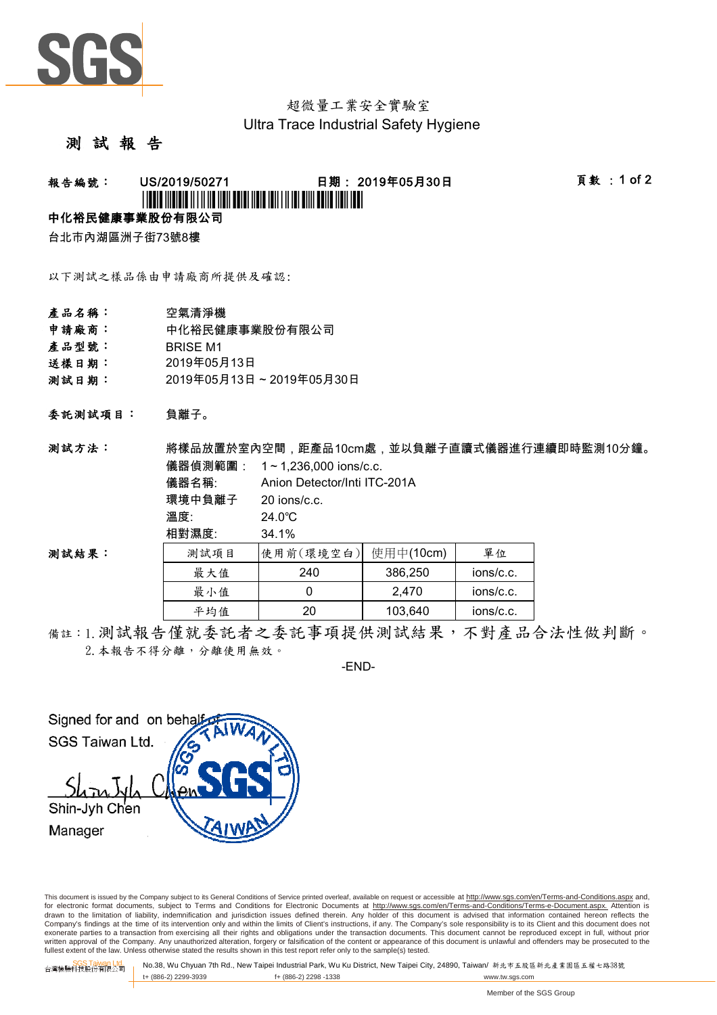

## 超微量工業安全實驗室 Ultra Trace Industrial Safety Hygiene

#### 測 試 報 告

## 報告編號: US/2019/50271 日期: 2019年05月30日 頁數 :1 of 2 \*USFIELD AND IN THE USE OF THE USE OF THE USE OF THE USE OF THE USE OF THE USE OF THE USE OF THE USE OF THE US

#### 中化裕民健康事業股份有限公司

台北市內湖區洲子街73號8樓

以下測試之樣品係由申請廠商所提供及確認:

- 產品名稱: 空氣清淨機
- 申請廠商: 中化裕民健康事業股份有限公司
- 產品型號: BRISE M1
- 送樣日期: 2019年05月13日
- 測試日期: 2019年05月13日~2019年05月30日

溫度: 24.0 ℃ 相對濕度: 34.1 %

負離子。 委託測試項目:

儀器偵測範圍: 1~1,236,000 ions/c.c. 儀器名稱: 環境中負離子 20 ions/c.c. Anion Detector/Inti ITC-201A 測試方法: 將樣品放置於室內空間,距產品10cm處,並以負離子直讀式儀器進行連續即時監測10分鐘。

測試結果:

| $1 - 2 - 7$ |           |           |           |
|-------------|-----------|-----------|-----------|
| 測試項目        | 使用前(環境空白) | 使用中(10cm) | 單位        |
| 最大值         | 240       | 386,250   | ions/c.c. |
| 最小值         |           | 2.470     | ions/c.c. |
| 平均值         | 20        | 103,640   | ions/c.c. |

備註:1.測試報告僅就委託者之委託事項提供測試結果,不對產品合法性做判斷。 2. 本報告不得分離,分離使用無效。

-END-

Signed for and on beha SGS Taiwan Ltd. Shin-Jyh Chen Manager

This document is issued by the Company subject to its General Conditions of Service printed overleaf, available on request or accessible at http://www.sgs.com/en/Terms-and-Conditions.aspx and, for electronic format documents, subject to Terms and Conditions for Electronic Documents at http://www.sgs.com/en/Terms-and-Conditions/Terms-e-Document.aspx. Attention is drawn to the limitation of liability, indemnification and jurisdiction issues defined therein. Any holder of this document is advised that information contained hereon reflects the Company's findings at the time of its intervention only and within the limits of Client's instructions, if any. The Company's sole responsibility is to its Client and this document does not exonerate parties to a transaction from exercising all their rights and obligations under the transaction documents. This document cannot be reproduced except in full, without prior written approval of the Company. Any unauthorized alteration, forgery or falsification of the content or appearance of this document is unlawful and offenders may be prosecuted to the<br>fullest extent of the law. Unless othe

SGS Taiwan Ltd. 台灣檢驗科技股份有限公司 No.38, Wu Chyuan 7th Rd., New Taipei Industrial Park, Wu Ku District, New Taipei City, 24890, Taiwan/ 新北市五股區新北產業園區五權七路38號 t+ (886-2) 2299-3939 f+ (886-2) 2298 -1338